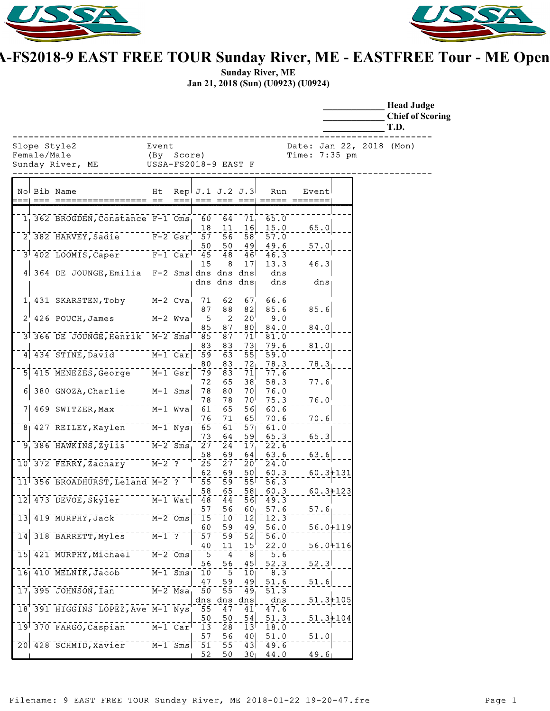



## **USSA-FS2018-9 EAST FREE TOUR Sunday River, ME - EASTFREE Tour - ME Open**

**Sunday River, ME Jan 21, 2018 (Sun) (U0923) (U0924)**

|                                                                 |                                                        |      |                        |                                             |                                           |                          |                                             |              | <b>Head Judge</b><br><b>Chief of Scoring</b><br>T.D. |
|-----------------------------------------------------------------|--------------------------------------------------------|------|------------------------|---------------------------------------------|-------------------------------------------|--------------------------|---------------------------------------------|--------------|------------------------------------------------------|
| Slope Style2<br>Female/Male<br>Sunday River, ME                 | Event<br>(By Score)<br>USSA TT<br>USSA-FS2018-9 EAST F |      |                        |                                             |                                           |                          | Date: Jan 22, 2018 (Mon)<br>Time: $7:35$ pm |              |                                                      |
| No Bib Name                                                     | Ht                                                     | $==$ |                        |                                             | Rep $J.1$ $J.2$ $J.3$                     | Run                      | Event                                       |              |                                                      |
| 1 362 BROGDEN, Constance F-1 Oms                                |                                                        |      | 60<br>18               | 64<br>11                                    | 71<br>16                                  | 65.0<br>15.0             | 65.0                                        |              |                                                      |
| 2 382 HARVEY, Sadie F-2 Gsr                                     |                                                        |      | 57                     | $\overline{56}$                             | 58                                        | 57.0                     |                                             |              |                                                      |
| $3^{+}$ 402 LOOMIS, Caper $F-1$ Car                             |                                                        |      | 50<br>45               | 50<br>$\overline{48}$                       | 49<br>46                                  | 49.6<br>46.3             | 57.0                                        |              |                                                      |
| 4 364 DE JOUNGE, Emilia F-2 Sms dns dns dns<br>________________ |                                                        |      | 15                     | 8                                           | 17<br>dns dns dns                         | 13.3<br>dns<br>dns       | 46.3<br>$dns_{\parallel}$                   |              |                                                      |
| 1 431 SKARSTEN, Toby M-2 Cva                                    |                                                        |      | 87                     | 88                                          | $71 \t62 \t67$<br>82                      | 66.6<br>85.6             | 85.6                                        |              |                                                      |
| 2 <sup>1</sup> 426 POUCH, James M-2 Wva                         |                                                        |      | $-5$<br>85             | $\overline{2}$<br>87                        | $20^{\circ}$<br>80                        | 9.0<br>84.0              | 84.0                                        |              |                                                      |
| 3 366 DE JOUNGE, Henrik M-2 Sms                                 |                                                        |      | 85<br>83               | 87<br>83                                    | $\bar{7}\bar{1}$<br>73                    | 81.0<br>79.6             | 81.0                                        |              |                                                      |
| 4 434 STINE, David M-1 Car<br>-1415 MENEZES, George M-1 Gsr     |                                                        |      | 59<br>80<br>79         | $\overline{63}$<br>$-83$<br>$\overline{83}$ | 55<br>72 <sub>1</sub><br>$\bar{7}\bar{1}$ | 59.0<br>78.3<br>77.6     | 78.3                                        |              |                                                      |
| 6 380 GNOZA, Charlie M-1 Sms                                    |                                                        |      | 72<br>$\overline{78}$  | 65<br>-80                                   | 38 <sup>′</sup><br>$\bar{7}\bar{0}$       | 58.3<br>76.0             | 77.6                                        |              |                                                      |
| 7 469 SWITZER, Max ------ M-1 Wva                               |                                                        |      | 78<br>$\overline{61}$  | 78<br>$\bar{6}5$                            | 70 <sup>1</sup><br>$\overline{56}$        | 75.3<br>60.6             | 76.0                                        |              |                                                      |
| 8 427 REILEY, Kaylen M-1 Nys                                    |                                                        |      | 76<br>$\overline{65}$  | 71<br>$\overline{61}$                       | 65<br>57 <sub>1</sub>                     | 70.6<br>61.0             | 70.6                                        |              |                                                      |
| $9^{+}_{1}$ 386 HAWKINS, Zylis $M-2$ Sms,                       |                                                        |      | 73<br>$\bar{2}\bar{7}$ | 64<br>24                                    | 59<br>17 <sub>1</sub>                     | 65.3<br>22.6             | 65.3                                        |              |                                                      |
| 10 372 FERRY, Zachary M-2 ?                                     |                                                        |      | 58<br>$\overline{25}$  | 69<br>$\bar{2}\bar{7}$                      | 64<br>$\bar{2}\bar{0}$                    | 63.6<br>24.0             | 63.6                                        |              |                                                      |
| 11 356 BROADHURST, Leland M-2 ?                                 |                                                        |      | 62<br>$-55$            | 69<br>'ق5ّ                                  | 50<br>$\overline{55}$                     | 60.3<br>56.3             | $60.3 + 131$                                |              |                                                      |
| 12 473 DEVOE, Skyler                                            |                                                        |      | 58<br>48<br>57         | 65<br>44<br>56                              | 58<br>56<br>60 <sub>1</sub>               | 60.3<br>49.3<br>57.6     | 57.6                                        | $60.3 + 123$ |                                                      |
| $13$ 419 MURPHY, Jack                                           | $M-2$ $Oms$                                            |      | $\overline{15}$<br>60  | Ίō<br>59                                    | $\overline{1}\overline{2}$<br>49          | 12.3<br>56.0             |                                             | $56.0 + 119$ |                                                      |
| 318 BARRETT, Myles<br>$\overline{14}$                           | $\bar{M}-1$ ?                                          |      | 57<br>40               | $\bar{5}\bar{9}$<br>11                      | $\bar{5}\bar{2}$<br>15 <sup>1</sup>       | $\bar{56.0}$<br>22.0     |                                             | $56.0 + 116$ |                                                      |
| 15 421 MURPHY, Michael M-2 Oms                                  |                                                        |      | 5<br>56                | -4<br>56                                    | $\overline{8}$<br>45                      | 5.6<br>52.3              | 52.3                                        |              |                                                      |
| 16 410 MELNIK, Jacob                                            | $\bar{M}-1$ Sms                                        |      | 10<br>47               | $\overline{\phantom{0}}$ 5<br>59            | $\overline{10}$<br>49                     | $-8.3$<br>51.6           | 51.6                                        |              |                                                      |
| $17$ , 395 JOHNSON, Ian                                         | $M-2$ Msa                                              |      | 50                     | 55                                          | $49_1$<br>dns dns dns                     | $\overline{51.3}$<br>dns |                                             | $51.3 + 105$ |                                                      |
| 18 391 HIGGINS LOPEZ, Ave M-1 Nys                               |                                                        |      | 55<br>50               | 47<br>50                                    | 41<br>$\sqrt{54}$                         | 47.6<br>51.3             |                                             | $51.3 + 104$ |                                                      |
| 19 370 FARGO, Caspian                                           | $M-1$ Car                                              |      | 13<br>57               | 28<br>56                                    | 13 <sup>1</sup><br>40                     | 18.0<br>51.0             | 51.0                                        |              |                                                      |
| 20 428 SCHMID, Xavier M-1 Sms 51                                |                                                        |      | 52                     | 55<br>50                                    | $\overline{4}3$                           | 49.6<br>$30$ 44.0        | 49.6                                        |              |                                                      |